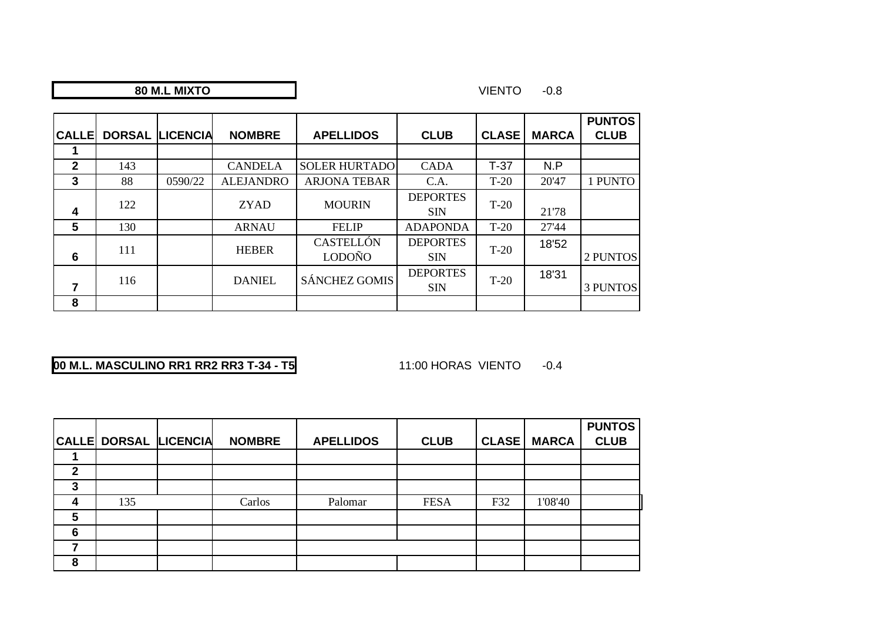## **M.L MIXTO**

#### VIENTO -0.8

| <b>CALLE</b>   |     | <b>DORSAL LICENCIA</b> | <b>NOMBRE</b>    | <b>APELLIDOS</b>                  | <b>CLUB</b>                   | <b>CLASE</b> | <b>MARCA</b> | <b>PUNTOS</b><br><b>CLUB</b> |
|----------------|-----|------------------------|------------------|-----------------------------------|-------------------------------|--------------|--------------|------------------------------|
|                |     |                        |                  |                                   |                               |              |              |                              |
| $\overline{2}$ | 143 |                        | <b>CANDELA</b>   | <b>SOLER HURTADO</b>              | <b>CADA</b>                   | $T-37$       | N.P          |                              |
| 3              | 88  | 0590/22                | <b>ALEJANDRO</b> | <b>ARJONA TEBAR</b>               | C.A.                          | $T-20$       | 20'47        | 1 PUNTO                      |
| 4              | 122 |                        | <b>ZYAD</b>      | <b>MOURIN</b>                     | <b>DEPORTES</b><br><b>SIN</b> | $T-20$       | 21'78        |                              |
| 5              | 130 |                        | <b>ARNAU</b>     | <b>FELIP</b>                      | <b>ADAPONDA</b>               | $T-20$       | 27'44        |                              |
| 6              | 111 |                        | <b>HEBER</b>     | <b>CASTELLÓN</b><br><b>LODOÑO</b> | <b>DEPORTES</b><br><b>SIN</b> | $T-20$       | 18'52        | 2 PUNTOS                     |
| 7              | 116 |                        | <b>DANIEL</b>    | <b>SÁNCHEZ GOMIS</b>              | <b>DEPORTES</b><br><b>SIN</b> | $T-20$       | 18'31        | <b>3 PUNTOS</b>              |
| 8              |     |                        |                  |                                   |                               |              |              |                              |

# **00 M.L. MASCULINO RR1 RR2 RR3 T-34 - T5**

11:00 HORAS VIENTO -0.4

|    | <b>CALLE DORSAL LICENCIA</b> | <b>NOMBRE</b> | <b>APELLIDOS</b> | <b>CLUB</b> | <b>CLASE</b> | <b>MARCA</b> | <b>PUNTOS</b><br><b>CLUB</b> |
|----|------------------------------|---------------|------------------|-------------|--------------|--------------|------------------------------|
|    |                              |               |                  |             |              |              |                              |
| כי |                              |               |                  |             |              |              |                              |
| J. |                              |               |                  |             |              |              |                              |
|    | 135                          | Carlos        | Palomar          | <b>FESA</b> | F32          | 1'08'40      |                              |
| 5  |                              |               |                  |             |              |              |                              |
| 6  |                              |               |                  |             |              |              |                              |
|    |                              |               |                  |             |              |              |                              |
| 8  |                              |               |                  |             |              |              |                              |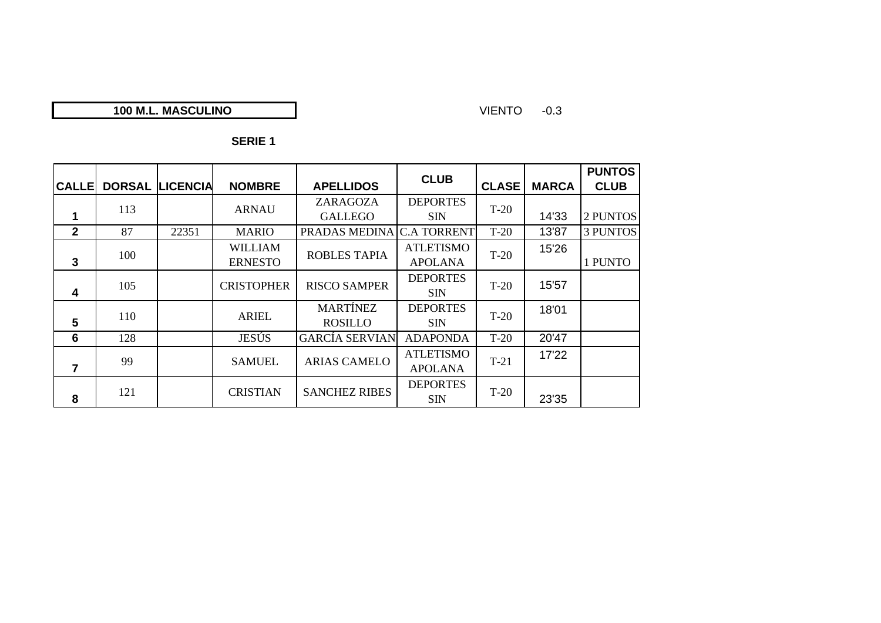## **100 M.L. MASCULINO**

#### VIENTO -0.3

|              |               |                 |                   |                       | <b>CLUB</b>        |              |              | <b>PUNTOS</b>   |
|--------------|---------------|-----------------|-------------------|-----------------------|--------------------|--------------|--------------|-----------------|
| <b>CALLE</b> | <b>DORSAL</b> | <b>LICENCIA</b> | <b>NOMBRE</b>     | <b>APELLIDOS</b>      |                    | <b>CLASE</b> | <b>MARCA</b> | <b>CLUB</b>     |
|              | 113           |                 |                   | ZARAGOZA              | <b>DEPORTES</b>    | $T-20$       |              |                 |
| 1            |               |                 | <b>ARNAU</b>      | <b>GALLEGO</b>        | <b>SIN</b>         |              | 14'33        | 2 PUNTOS        |
| $\mathbf{2}$ | 87            | 22351           | <b>MARIO</b>      | PRADAS MEDINA         | <b>C.A TORRENT</b> | $T-20$       | 13'87        | <b>3 PUNTOS</b> |
|              | 100           |                 | <b>WILLIAM</b>    | <b>ROBLES TAPIA</b>   | <b>ATLETISMO</b>   | $T-20$       | 15'26        |                 |
| 3            |               |                 | <b>ERNESTO</b>    |                       | <b>APOLANA</b>     |              |              | 1 PUNTO         |
|              | 105           |                 | <b>CRISTOPHER</b> | <b>RISCO SAMPER</b>   | <b>DEPORTES</b>    | $T-20$       | 15'57        |                 |
| 4            |               |                 |                   |                       | <b>SIN</b>         |              |              |                 |
|              | 110           |                 | <b>ARIEL</b>      | <b>MARTÍNEZ</b>       | <b>DEPORTES</b>    | $T-20$       | 18'01        |                 |
| 5            |               |                 |                   | <b>ROSILLO</b>        | <b>SIN</b>         |              |              |                 |
| 6            | 128           |                 | <b>JESÚS</b>      | <b>GARCÍA SERVIAN</b> | <b>ADAPONDA</b>    | $T-20$       | 20'47        |                 |
|              | 99            |                 |                   |                       | <b>ATLETISMO</b>   |              | 17'22        |                 |
| 7            |               |                 | <b>SAMUEL</b>     | <b>ARIAS CAMELO</b>   | <b>APOLANA</b>     | $T-21$       |              |                 |
|              |               |                 | <b>CRISTIAN</b>   | <b>SANCHEZ RIBES</b>  | <b>DEPORTES</b>    | $T-20$       |              |                 |
| 8            | 121           |                 |                   |                       | <b>SIN</b>         |              | 23'35        |                 |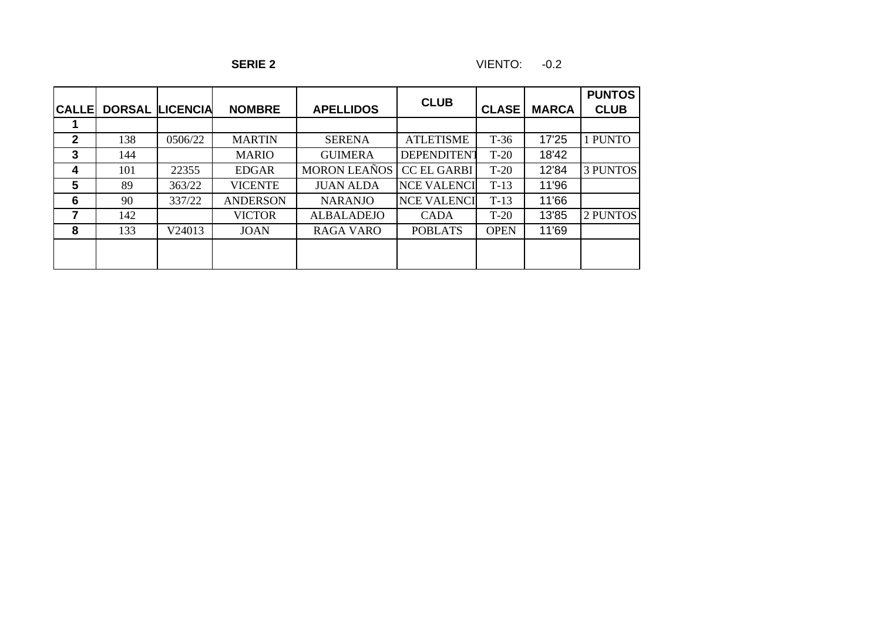| <b>CALLE</b> |     | <b>DORSAL LICENCIA</b> | <b>NOMBRE</b>   | <b>APELLIDOS</b>    | <b>CLUB</b>        | <b>CLASE</b> | <b>MARCA</b> | <b>PUNTOS</b><br><b>CLUB</b> |
|--------------|-----|------------------------|-----------------|---------------------|--------------------|--------------|--------------|------------------------------|
|              |     |                        |                 |                     |                    |              |              |                              |
| $\mathbf{2}$ | 138 | 0506/22                | <b>MARTIN</b>   | <b>SERENA</b>       | <b>ATLETISME</b>   | $T-36$       | 17'25        | l PUNTO                      |
| 3            | 144 |                        | <b>MARIO</b>    | <b>GUIMERA</b>      | <b>DEPENDITENT</b> | $T-20$       | 18'42        |                              |
| 4            | 101 | 22355                  | <b>EDGAR</b>    | <b>MORON LEAÑOS</b> | <b>CC EL GARBI</b> | $T-20$       | 12'84        | <b>3 PUNTOS</b>              |
| 5            | 89  | 363/22                 | <b>VICENTE</b>  | <b>JUAN ALDA</b>    | <b>NCE VALENCI</b> | $T-13$       | 11'96        |                              |
| 6            | 90  | 337/22                 | <b>ANDERSON</b> | <b>NARANJO</b>      | <b>NCE VALENCI</b> | $T-13$       | 11'66        |                              |
|              | 142 |                        | <b>VICTOR</b>   | <b>ALBALADEJO</b>   | <b>CADA</b>        | $T-20$       | 13'85        | 2 PUNTOS                     |
| 8            | 133 | V24013                 | <b>JOAN</b>     | <b>RAGA VARO</b>    | <b>POBLATS</b>     | <b>OPEN</b>  | 11'69        |                              |
|              |     |                        |                 |                     |                    |              |              |                              |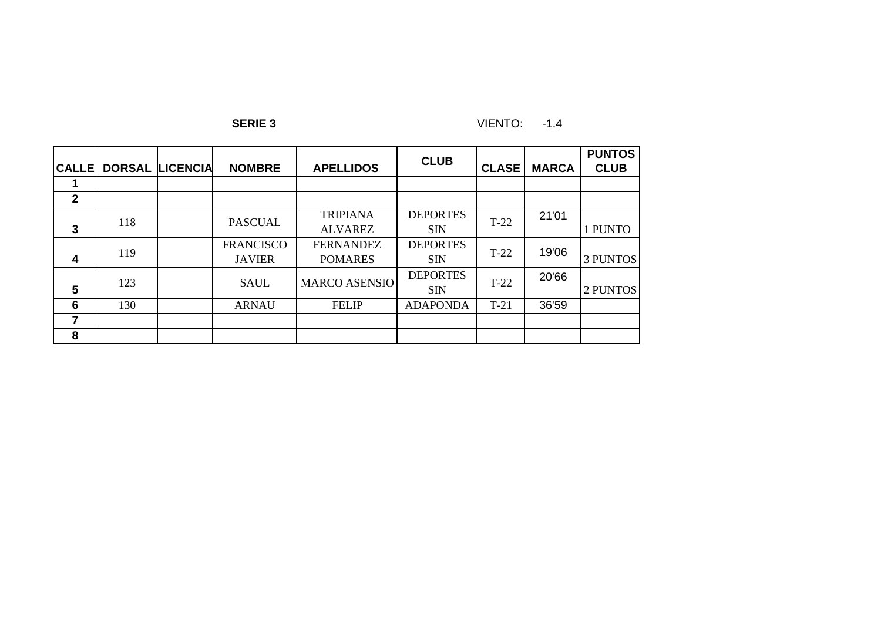**SERIE 3** VIENTO: -1.4

| <b>CALLE</b>   | <b>DORSAL</b> | <b>LICENCIA</b> | <b>NOMBRE</b>                     | <b>APELLIDOS</b>                   | <b>CLUB</b>                   | <b>CLASE</b> | <b>MARCA</b> | <b>PUNTOS</b><br><b>CLUB</b> |
|----------------|---------------|-----------------|-----------------------------------|------------------------------------|-------------------------------|--------------|--------------|------------------------------|
|                |               |                 |                                   |                                    |                               |              |              |                              |
| $\overline{2}$ |               |                 |                                   |                                    |                               |              |              |                              |
| $\overline{3}$ | 118           |                 | <b>PASCUAL</b>                    | <b>TRIPIANA</b><br><b>ALVAREZ</b>  | <b>DEPORTES</b><br><b>SIN</b> | $T-22$       | 21'01        | 1 PUNTO                      |
| 4              | 119           |                 | <b>FRANCISCO</b><br><b>JAVIER</b> | <b>FERNANDEZ</b><br><b>POMARES</b> | <b>DEPORTES</b><br><b>SIN</b> | $T-22$       | 19'06        | <b>3 PUNTOS</b>              |
| $5\phantom{1}$ | 123           |                 | <b>SAUL</b>                       | <b>MARCO ASENSIO</b>               | <b>DEPORTES</b><br><b>SIN</b> | $T-22$       | 20'66        | 2 PUNTOS                     |
| 6              | 130           |                 | <b>ARNAU</b>                      | <b>FELIP</b>                       | <b>ADAPONDA</b>               | $T-21$       | 36'59        |                              |
|                |               |                 |                                   |                                    |                               |              |              |                              |
| 8              |               |                 |                                   |                                    |                               |              |              |                              |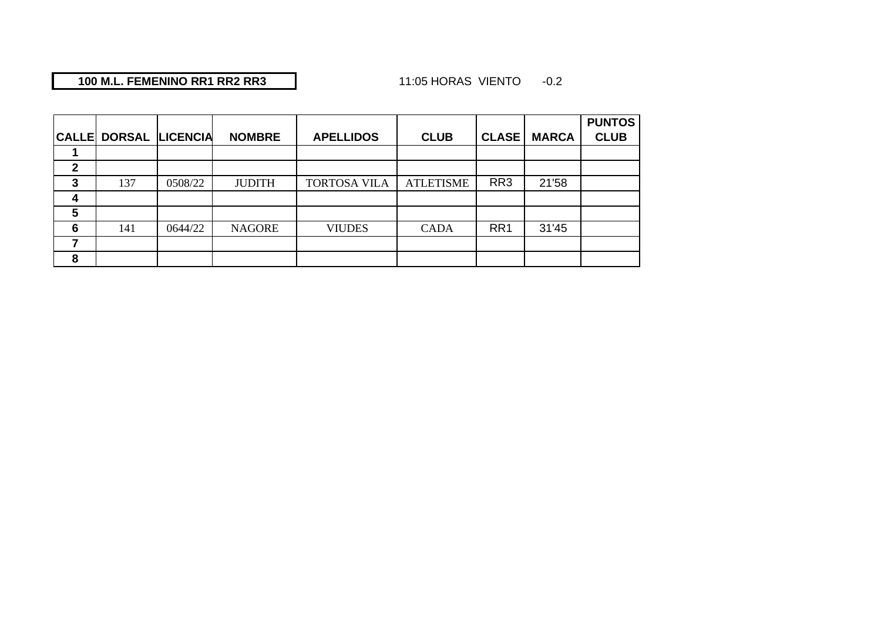## **100 M.L. FEMENINO RR1 RR2 RR3**

## 11:05 HORAS VIENTO -0.2

|              |                        |         |               |                     |                  |                 |              | <b>PUNTOS</b> |
|--------------|------------------------|---------|---------------|---------------------|------------------|-----------------|--------------|---------------|
| <b>CALLE</b> | <b>DORSAL LICENCIA</b> |         | <b>NOMBRE</b> | <b>APELLIDOS</b>    | <b>CLUB</b>      | <b>CLASE</b>    | <b>MARCA</b> | <b>CLUB</b>   |
|              |                        |         |               |                     |                  |                 |              |               |
| 2            |                        |         |               |                     |                  |                 |              |               |
| 3            | 137                    | 0508/22 | <b>JUDITH</b> | <b>TORTOSA VILA</b> | <b>ATLETISME</b> | RR <sub>3</sub> | 21'58        |               |
| 4            |                        |         |               |                     |                  |                 |              |               |
| 5            |                        |         |               |                     |                  |                 |              |               |
| 6            | 141                    | 0644/22 | <b>NAGORE</b> | <b>VIUDES</b>       | <b>CADA</b>      | RR <sub>1</sub> | 31'45        |               |
|              |                        |         |               |                     |                  |                 |              |               |
| 8            |                        |         |               |                     |                  |                 |              |               |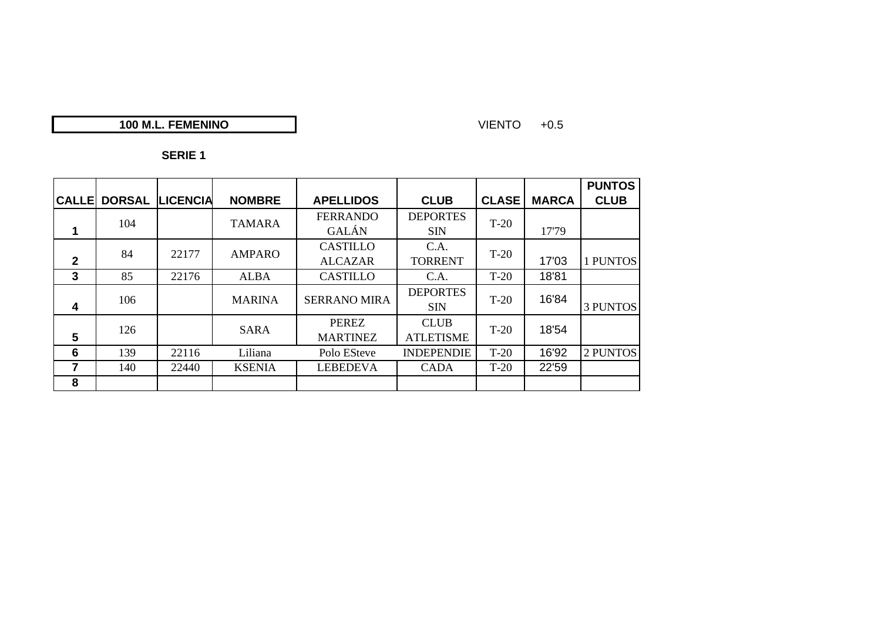## **100 M.L. FEMENINO**

#### VIENTO +0.5

|                |               |                 |               |                     |                   |              |              | <b>PUNTOS</b>   |
|----------------|---------------|-----------------|---------------|---------------------|-------------------|--------------|--------------|-----------------|
| <b>CALLE</b>   | <b>DORSAL</b> | <b>LICENCIA</b> | <b>NOMBRE</b> | <b>APELLIDOS</b>    | <b>CLUB</b>       | <b>CLASE</b> | <b>MARCA</b> | <b>CLUB</b>     |
|                | 104           |                 | <b>TAMARA</b> | <b>FERRANDO</b>     | <b>DEPORTES</b>   | $T-20$       |              |                 |
|                |               |                 |               | <b>GALÁN</b>        | <b>SIN</b>        |              | 17'79        |                 |
|                | 84            | 22177           | <b>AMPARO</b> | <b>CASTILLO</b>     | C.A.              | $T-20$       |              |                 |
| $\overline{2}$ |               |                 |               | <b>ALCAZAR</b>      | <b>TORRENT</b>    |              | 17'03        | 1 PUNTOS        |
| $\mathbf{3}$   | 85            | 22176           | <b>ALBA</b>   | <b>CASTILLO</b>     | C.A.              | $T-20$       | 18'81        |                 |
|                | 106           |                 | <b>MARINA</b> | <b>SERRANO MIRA</b> | <b>DEPORTES</b>   | $T-20$       | 16'84        |                 |
| 4              |               |                 |               |                     | <b>SIN</b>        |              |              | <b>3 PUNTOS</b> |
|                | 126           |                 | <b>SARA</b>   | <b>PEREZ</b>        | <b>CLUB</b>       | $T-20$       | 18'54        |                 |
| 5              |               |                 |               | <b>MARTINEZ</b>     | <b>ATLETISME</b>  |              |              |                 |
| 6              | 139           | 22116           | Liliana       | Polo ESteve         | <b>INDEPENDIE</b> | $T-20$       | 16'92        | 2 PUNTOS        |
| 7              | 140           | 22440           | <b>KSENIA</b> | <b>LEBEDEVA</b>     | <b>CADA</b>       | $T-20$       | 22'59        |                 |
| 8              |               |                 |               |                     |                   |              |              |                 |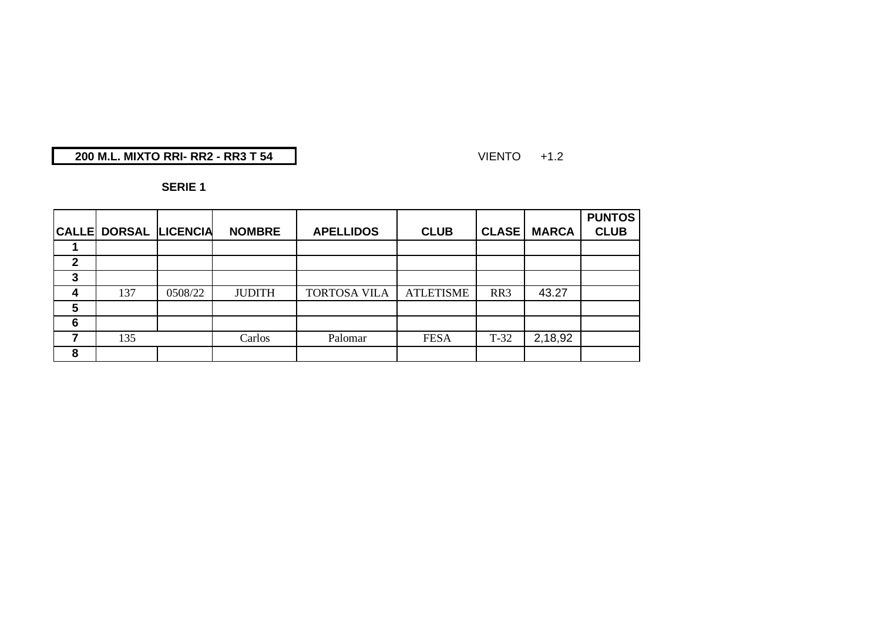## **200 M.L. MIXTO RRI- RR2 - RR3 T 54**

#### VIENTO +1.2

|              |                              |         |               |                     |                  |              |              | <b>PUNTOS</b> |
|--------------|------------------------------|---------|---------------|---------------------|------------------|--------------|--------------|---------------|
|              | <b>CALLE DORSAL LICENCIA</b> |         | <b>NOMBRE</b> | <b>APELLIDOS</b>    | <b>CLUB</b>      | <b>CLASE</b> | <b>MARCA</b> | <b>CLUB</b>   |
|              |                              |         |               |                     |                  |              |              |               |
| $\mathbf{2}$ |                              |         |               |                     |                  |              |              |               |
| 3            |                              |         |               |                     |                  |              |              |               |
| 4            | 137                          | 0508/22 | <b>JUDITH</b> | <b>TORTOSA VILA</b> | <b>ATLETISME</b> | RR3          | 43.27        |               |
| 5            |                              |         |               |                     |                  |              |              |               |
| 6            |                              |         |               |                     |                  |              |              |               |
| ⇁            | 135                          |         | Carlos        | Palomar             | <b>FESA</b>      | $T-32$       | 2,18,92      |               |
| 8            |                              |         |               |                     |                  |              |              |               |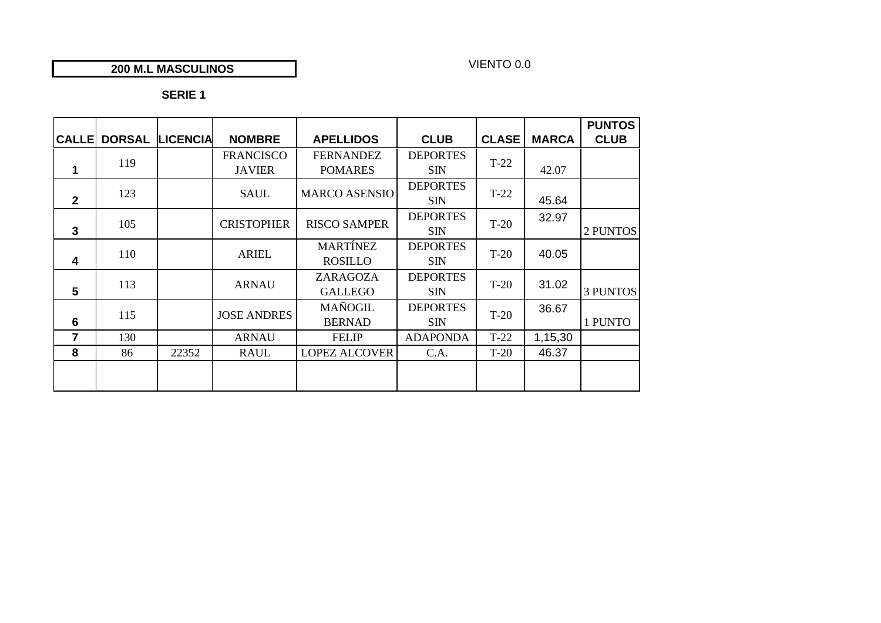#### **200 M.L MASCULINOS**

## VIENTO 0.0

|                         |                     |                 |                    |                      |                 |              |              | <b>PUNTOS</b>   |
|-------------------------|---------------------|-----------------|--------------------|----------------------|-----------------|--------------|--------------|-----------------|
|                         | <b>CALLE DORSAL</b> | <b>LICENCIA</b> | <b>NOMBRE</b>      | <b>APELLIDOS</b>     | <b>CLUB</b>     | <b>CLASE</b> | <b>MARCA</b> | <b>CLUB</b>     |
|                         | 119                 |                 | <b>FRANCISCO</b>   | <b>FERNANDEZ</b>     | <b>DEPORTES</b> | $T-22$       |              |                 |
| 1                       |                     |                 | <b>JAVIER</b>      | <b>POMARES</b>       | <b>SIN</b>      |              | 42.07        |                 |
|                         |                     |                 |                    |                      | <b>DEPORTES</b> |              |              |                 |
| $\overline{2}$          | 123                 |                 | <b>SAUL</b>        | <b>MARCO ASENSIO</b> | <b>SIN</b>      | $T-22$       | 45.64        |                 |
|                         | 105                 |                 | <b>CRISTOPHER</b>  | <b>RISCO SAMPER</b>  | <b>DEPORTES</b> | $T-20$       | 32.97        |                 |
| $\mathbf{3}$            |                     |                 |                    |                      | <b>SIN</b>      |              |              | 2 PUNTOS        |
|                         | 110                 |                 | <b>ARIEL</b>       | <b>MARTÍNEZ</b>      | <b>DEPORTES</b> | $T-20$       | 40.05        |                 |
| $\overline{\mathbf{4}}$ |                     |                 |                    | <b>ROSILLO</b>       | <b>SIN</b>      |              |              |                 |
|                         | 113                 |                 | <b>ARNAU</b>       | ZARAGOZA             | <b>DEPORTES</b> | $T-20$       | 31.02        |                 |
| 5                       |                     |                 |                    | <b>GALLEGO</b>       | <b>SIN</b>      |              |              | <b>3 PUNTOS</b> |
|                         | 115                 |                 | <b>JOSE ANDRES</b> | <b>MAÑOGIL</b>       | <b>DEPORTES</b> | $T-20$       | 36.67        |                 |
| 6                       |                     |                 |                    | <b>BERNAD</b>        | <b>SIN</b>      |              |              | 1 PUNTO         |
| 7                       | 130                 |                 | <b>ARNAU</b>       | <b>FELIP</b>         | <b>ADAPONDA</b> | $T-22$       | 1,15,30      |                 |
| 8                       | 86                  | 22352           | RAUL               | <b>LOPEZ ALCOVER</b> | C.A.            | $T-20$       | 46.37        |                 |
|                         |                     |                 |                    |                      |                 |              |              |                 |
|                         |                     |                 |                    |                      |                 |              |              |                 |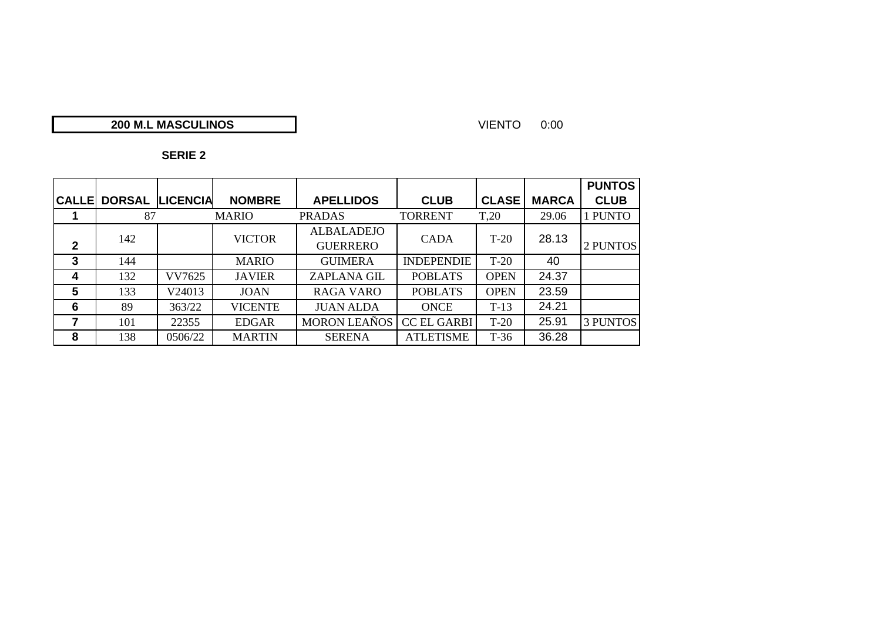## **M.L MASCULINOS**

#### VIENTO 0:00

|               |               |                 |                |                                      |                    |                  |              | <b>PUNTOS</b>   |
|---------------|---------------|-----------------|----------------|--------------------------------------|--------------------|------------------|--------------|-----------------|
| <b>CALLEI</b> | <b>DORSAL</b> | <b>LICENCIA</b> | <b>NOMBRE</b>  | <b>APELLIDOS</b>                     | <b>CLUB</b>        | <b>CLASE</b>     | <b>MARCA</b> | <b>CLUB</b>     |
|               | 87            |                 | <b>MARIO</b>   | <b>PRADAS</b>                        | <b>TORRENT</b>     | T <sub>.20</sub> | 29.06        | 1 PUNTO         |
| $\mathbf{2}$  | 142           |                 | <b>VICTOR</b>  | <b>ALBALADEJO</b><br><b>GUERRERO</b> | <b>CADA</b>        | $T-20$           | 28.13        | 2 PUNTOS        |
| 3             | 144           |                 | <b>MARIO</b>   | <b>GUIMERA</b>                       | <b>INDEPENDIE</b>  | $T-20$           | 40           |                 |
| 4             | 132           | VV7625          | <b>JAVIER</b>  | <b>ZAPLANA GIL</b>                   | <b>POBLATS</b>     | <b>OPEN</b>      | 24.37        |                 |
| 5             | 133           | V24013          | <b>JOAN</b>    | <b>RAGA VARO</b>                     | <b>POBLATS</b>     | <b>OPEN</b>      | 23.59        |                 |
| 6             | 89            | 363/22          | <b>VICENTE</b> | <b>JUAN ALDA</b>                     | <b>ONCE</b>        | $T-13$           | 24.21        |                 |
|               | 101           | 22355           | <b>EDGAR</b>   | <b>MORON LEAÑOS</b>                  | <b>CC EL GARBI</b> | $T-20$           | 25.91        | <b>3 PUNTOS</b> |
| 8             | 138           | 0506/22         | <b>MARTIN</b>  | <b>SERENA</b>                        | <b>ATLETISME</b>   | $T-36$           | 36.28        |                 |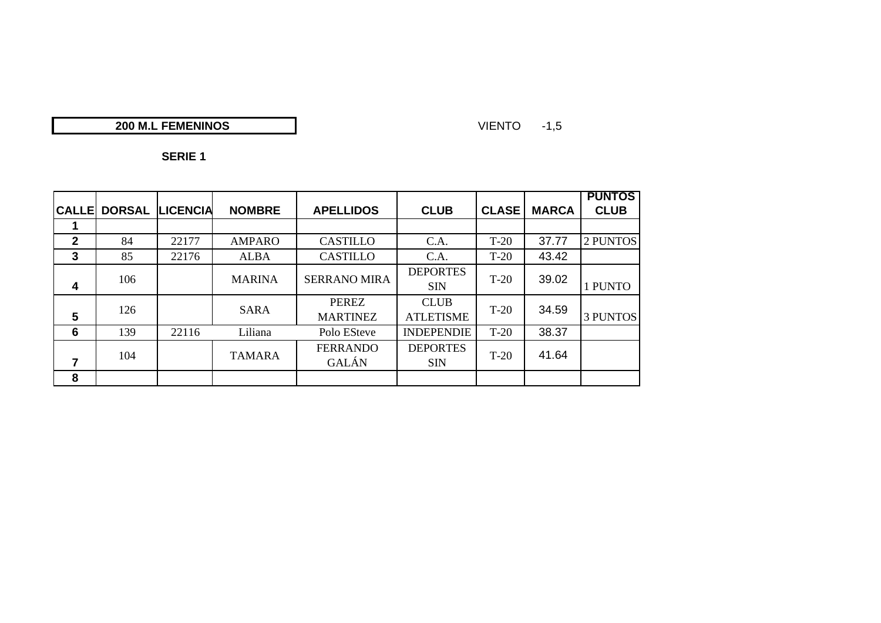## **200 M.L FEMENINOS**

VIENTO -1,5

| ╌ |  |
|---|--|
|---|--|

|                         |               |          |               |                     |                   |              |              | <b>PUNTOS</b>   |
|-------------------------|---------------|----------|---------------|---------------------|-------------------|--------------|--------------|-----------------|
| <b>CALLE</b>            | <b>DORSAL</b> | LICENCIA | <b>NOMBRE</b> | <b>APELLIDOS</b>    | <b>CLUB</b>       | <b>CLASE</b> | <b>MARCA</b> | <b>CLUB</b>     |
|                         |               |          |               |                     |                   |              |              |                 |
| $\overline{2}$          | 84            | 22177    | <b>AMPARO</b> | <b>CASTILLO</b>     | C.A.              | $T-20$       | 37.77        | 2 PUNTOS        |
| $\mathbf{3}$            | 85            | 22176    | <b>ALBA</b>   | <b>CASTILLO</b>     | C.A.              | $T-20$       | 43.42        |                 |
|                         | 106           |          | <b>MARINA</b> | <b>SERRANO MIRA</b> | <b>DEPORTES</b>   | $T-20$       | 39.02        |                 |
| 4                       |               |          |               |                     | <b>SIN</b>        |              |              | 1 PUNTO         |
|                         | 126           |          | <b>SARA</b>   | <b>PEREZ</b>        | <b>CLUB</b>       | $T-20$       | 34.59        |                 |
| 5                       |               |          |               | <b>MARTINEZ</b>     | <b>ATLETISME</b>  |              |              | <b>3 PUNTOS</b> |
| 6                       | 139           | 22116    | Liliana       | Polo ESteve         | <b>INDEPENDIE</b> | $T-20$       | 38.37        |                 |
|                         | 104           |          | <b>TAMARA</b> | <b>FERRANDO</b>     | <b>DEPORTES</b>   | $T-20$       | 41.64        |                 |
| $\overline{\mathbf{r}}$ |               |          |               | <b>GALÁN</b>        | <b>SIN</b>        |              |              |                 |
| 8                       |               |          |               |                     |                   |              |              |                 |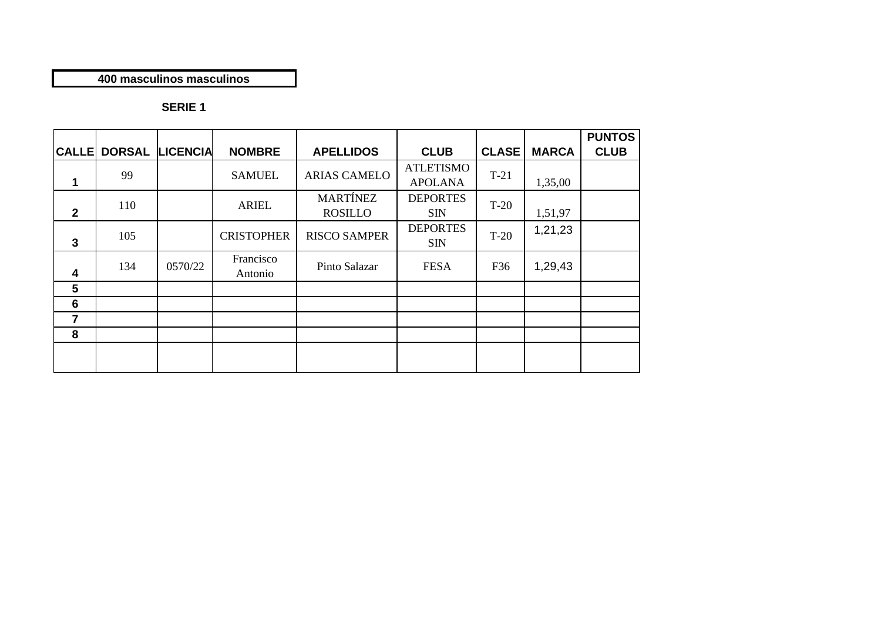## **400 masculinos masculinos**

|                 |               |                 |                      |                                   |                                    |              |              | <b>PUNTOS</b> |
|-----------------|---------------|-----------------|----------------------|-----------------------------------|------------------------------------|--------------|--------------|---------------|
| <b>CALLE</b>    | <b>DORSAL</b> | <b>LICENCIA</b> | <b>NOMBRE</b>        | <b>APELLIDOS</b>                  | <b>CLUB</b>                        | <b>CLASE</b> | <b>MARCA</b> | <b>CLUB</b>   |
| 1               | 99            |                 | <b>SAMUEL</b>        | <b>ARIAS CAMELO</b>               | <b>ATLETISMO</b><br><b>APOLANA</b> | $T-21$       | 1,35,00      |               |
| $\overline{2}$  | 110           |                 | <b>ARIEL</b>         | <b>MARTÍNEZ</b><br><b>ROSILLO</b> | <b>DEPORTES</b><br><b>SIN</b>      | $T-20$       | 1,51,97      |               |
| $\mathbf{3}$    | 105           |                 | <b>CRISTOPHER</b>    | <b>RISCO SAMPER</b>               | <b>DEPORTES</b><br><b>SIN</b>      | $T-20$       | 1,21,23      |               |
| 4               | 134           | 0570/22         | Francisco<br>Antonio | Pinto Salazar                     | <b>FESA</b>                        | F36          | 1,29,43      |               |
| 5               |               |                 |                      |                                   |                                    |              |              |               |
| $6\phantom{1}6$ |               |                 |                      |                                   |                                    |              |              |               |
| 7               |               |                 |                      |                                   |                                    |              |              |               |
| 8               |               |                 |                      |                                   |                                    |              |              |               |
|                 |               |                 |                      |                                   |                                    |              |              |               |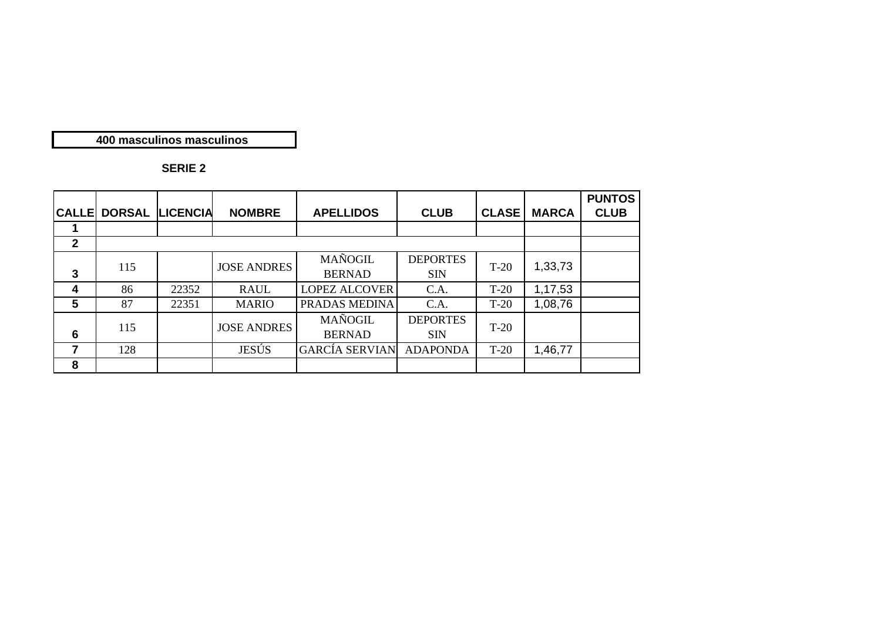#### **400 masculinos masculinos**

| <b>CALLE</b>     | <b>DORSAL</b> | <b>LICENCIA</b> | <b>NOMBRE</b>      | <b>APELLIDOS</b>                | <b>CLUB</b>                   | <b>CLASE</b> | <b>MARCA</b> | <b>PUNTOS</b><br><b>CLUB</b> |
|------------------|---------------|-----------------|--------------------|---------------------------------|-------------------------------|--------------|--------------|------------------------------|
|                  |               |                 |                    |                                 |                               |              |              |                              |
| $\overline{2}$   |               |                 |                    |                                 |                               |              |              |                              |
| $\mathbf{3}$     | 115           |                 | <b>JOSE ANDRES</b> | <b>MAÑOGIL</b><br><b>BERNAD</b> | <b>DEPORTES</b><br><b>SIN</b> | $T-20$       | 1,33,73      |                              |
| $\boldsymbol{4}$ | 86            | 22352           | <b>RAUL</b>        | <b>LOPEZ ALCOVER</b>            | C.A.                          | $T-20$       | 1,17,53      |                              |
| 5                | 87            | 22351           | <b>MARIO</b>       | PRADAS MEDINA                   | C.A.                          | $T-20$       | 1,08,76      |                              |
| 6                | 115           |                 | <b>JOSE ANDRES</b> | <b>MAÑOGIL</b><br><b>BERNAD</b> | <b>DEPORTES</b><br><b>SIN</b> | $T-20$       |              |                              |
|                  | 128           |                 | <b>JESÚS</b>       | <b>GARCÍA SERVIAN</b>           | <b>ADAPONDA</b>               | $T-20$       | 1,46,77      |                              |
| 8                |               |                 |                    |                                 |                               |              |              |                              |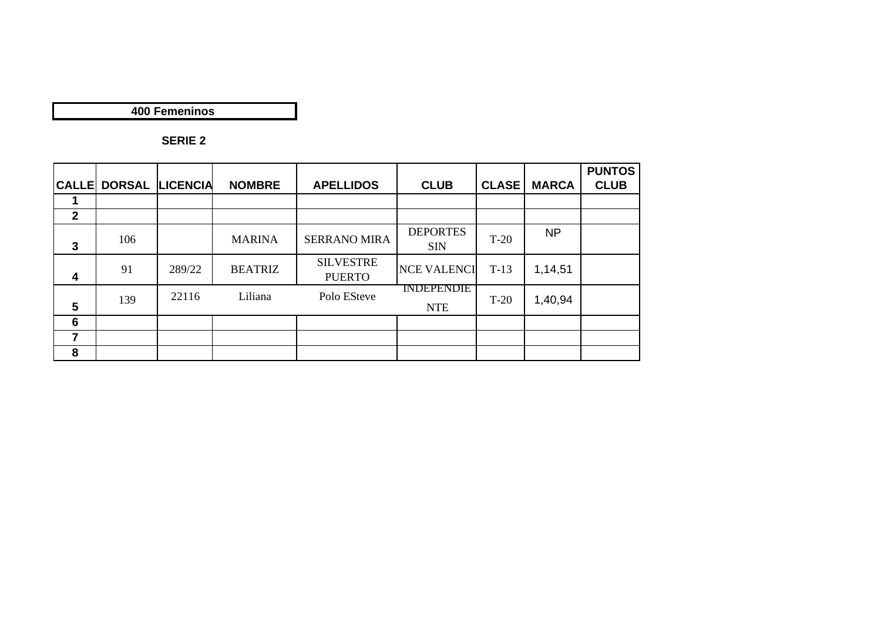**400 Femeninos**

| <b>CALLE</b>            |     | <b>DORSAL LICENCIA</b> | <b>NOMBRE</b>  | <b>APELLIDOS</b>                  | <b>CLUB</b>                     | <b>CLASE</b> | <b>MARCA</b> | <b>PUNTOS</b><br><b>CLUB</b> |
|-------------------------|-----|------------------------|----------------|-----------------------------------|---------------------------------|--------------|--------------|------------------------------|
|                         |     |                        |                |                                   |                                 |              |              |                              |
| $\mathbf{2}$            |     |                        |                |                                   |                                 |              |              |                              |
| 3                       | 106 |                        | <b>MARINA</b>  | <b>SERRANO MIRA</b>               | <b>DEPORTES</b><br><b>SIN</b>   | $T-20$       | <b>NP</b>    |                              |
| $\overline{\mathbf{4}}$ | 91  | 289/22                 | <b>BEATRIZ</b> | <b>SILVESTRE</b><br><b>PUERTO</b> | <b>NCE VALENCI</b>              | $T-13$       | 1,14,51      |                              |
| 5                       | 139 | 22116                  | Liliana        | Polo ESteve                       | <b>INDEPENDIE</b><br><b>NTE</b> | $T-20$       | 1,40,94      |                              |
| 6                       |     |                        |                |                                   |                                 |              |              |                              |
| 7                       |     |                        |                |                                   |                                 |              |              |                              |
| 8                       |     |                        |                |                                   |                                 |              |              |                              |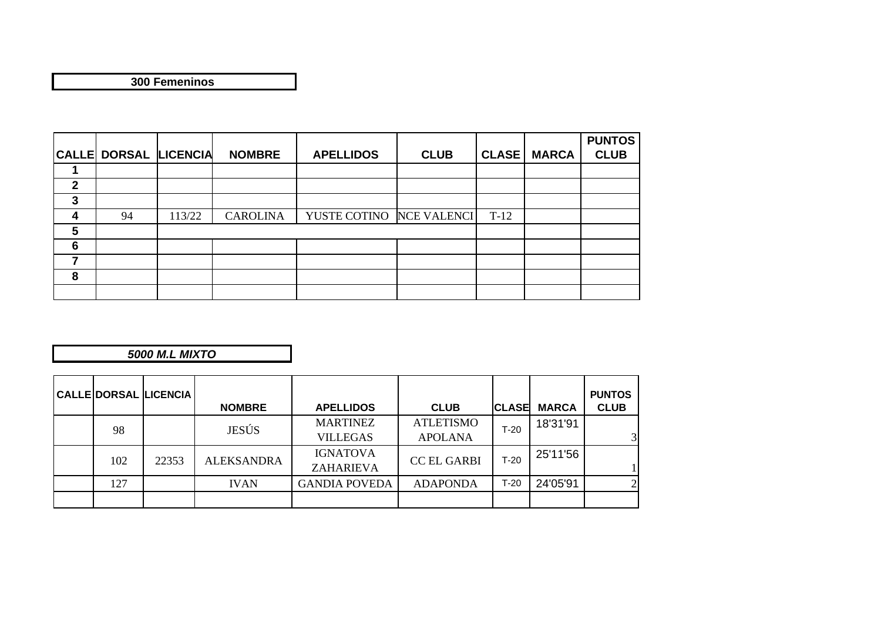**300 Femeninos**

|              |                              |        |                 |                  |                    |              |              | <b>PUNTOS</b> |
|--------------|------------------------------|--------|-----------------|------------------|--------------------|--------------|--------------|---------------|
|              | <b>CALLE DORSAL LICENCIA</b> |        | <b>NOMBRE</b>   | <b>APELLIDOS</b> | <b>CLUB</b>        | <b>CLASE</b> | <b>MARCA</b> | <b>CLUB</b>   |
|              |                              |        |                 |                  |                    |              |              |               |
| $\mathbf{2}$ |                              |        |                 |                  |                    |              |              |               |
| 3            |                              |        |                 |                  |                    |              |              |               |
| 4            | 94                           | 113/22 | <b>CAROLINA</b> | YUSTE COTINO     | <b>NCE VALENCI</b> | $T-12$       |              |               |
| 5            |                              |        |                 |                  |                    |              |              |               |
| 6            |                              |        |                 |                  |                    |              |              |               |
| 7            |                              |        |                 |                  |                    |              |              |               |
| 8            |                              |        |                 |                  |                    |              |              |               |
|              |                              |        |                 |                  |                    |              |              |               |

*5000 M.L MIXTO*

|     | <b>CALLE DORSAL LICENCIA</b> | <b>NOMBRE</b>     | <b>APELLIDOS</b>     | <b>CLUB</b>        | <b>CLASE</b> | <b>MARCA</b> | <b>PUNTOS</b><br><b>CLUB</b> |
|-----|------------------------------|-------------------|----------------------|--------------------|--------------|--------------|------------------------------|
| 98  |                              | <b>JESÚS</b>      | <b>MARTINEZ</b>      | <b>ATLETISMO</b>   | $T-20$       | 18'31'91     |                              |
|     |                              |                   | <b>VILLEGAS</b>      | <b>APOLANA</b>     |              |              |                              |
| 102 | 22353                        | <b>ALEKSANDRA</b> | <b>IGNATOVA</b>      | <b>CC EL GARBI</b> | $T-20$       | 25'11'56     |                              |
|     |                              |                   | ZAHARIEVA            |                    |              |              |                              |
| 127 |                              | <b>IVAN</b>       | <b>GANDIA POVEDA</b> | <b>ADAPONDA</b>    | $T-20$       | 24'05'91     |                              |
|     |                              |                   |                      |                    |              |              |                              |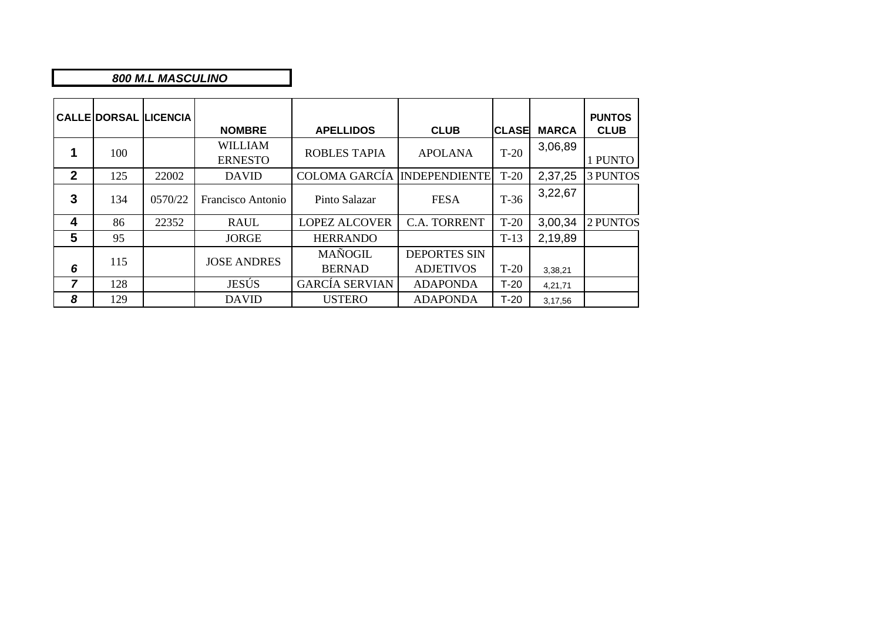#### *800 M.L MASCULINO*

|                |     | <b>CALLE DORSAL LICENCIA</b> | <b>NOMBRE</b>                    | <b>APELLIDOS</b>                   | <b>CLUB</b>                             | <b>CLASE</b> | <b>MARCA</b> | <b>PUNTOS</b><br><b>CLUB</b> |
|----------------|-----|------------------------------|----------------------------------|------------------------------------|-----------------------------------------|--------------|--------------|------------------------------|
|                | 100 |                              | <b>WILLIAM</b><br><b>ERNESTO</b> | <b>ROBLES TAPIA</b>                | <b>APOLANA</b>                          | $T-20$       | 3,06,89      | 1 PUNTO                      |
| $\overline{2}$ | 125 | 22002                        | <b>DAVID</b>                     | <b>COLOMA GARCÍA INDEPENDIENTE</b> |                                         | $T-20$       | 2,37,25      | <b>3 PUNTOS</b>              |
| 3              | 134 | 0570/22                      | Francisco Antonio                | Pinto Salazar                      | $T-36$<br><b>FESA</b>                   |              | 3,22,67      |                              |
| 4              | 86  | 22352                        | <b>RAUL</b>                      | <b>LOPEZ ALCOVER</b>               | C.A. TORRENT                            | $T-20$       | 3,00,34      | 2 PUNTOS                     |
| 5              | 95  |                              | <b>JORGE</b>                     | <b>HERRANDO</b>                    |                                         | $T-13$       | 2,19,89      |                              |
| 6              | 115 |                              | <b>JOSE ANDRES</b>               | <b>MAÑOGIL</b><br><b>BERNAD</b>    | <b>DEPORTES SIN</b><br><b>ADJETIVOS</b> | $T-20$       | 3,38,21      |                              |
| 7              | 128 |                              | JESÚS                            | <b>GARCÍA SERVIAN</b>              | <b>ADAPONDA</b>                         | $T-20$       | 4,21,71      |                              |
| 8              | 129 |                              | <b>DAVID</b>                     | <b>USTERO</b>                      | <b>ADAPONDA</b>                         | $T-20$       | 3,17,56      |                              |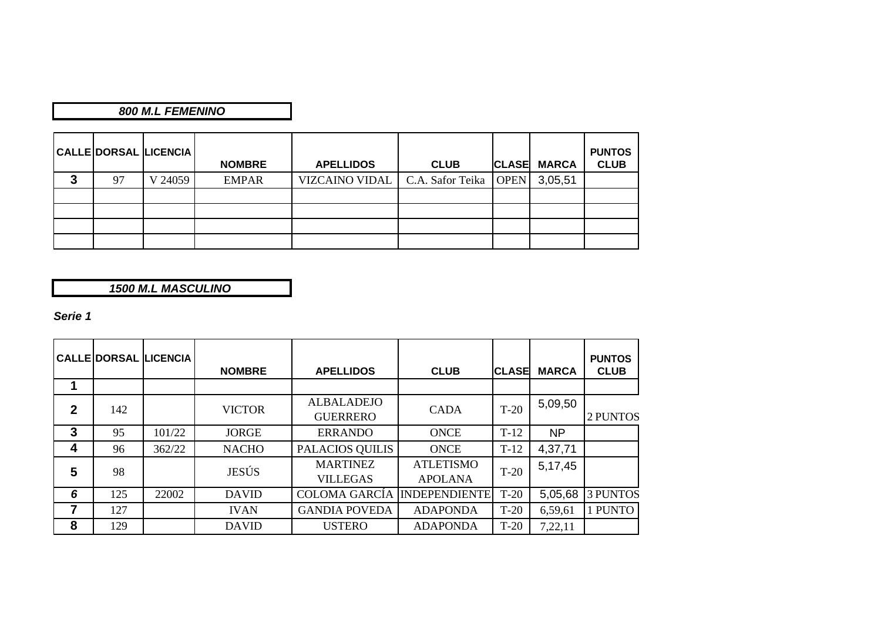## *800 M.L FEMENINO*

|   |    | <b>CALLE DORSAL LICENCIA</b> | <b>NOMBRE</b> | <b>APELLIDOS</b>                         | <b>CLUB</b> | <b>CLASE</b> | <b>MARCA</b> | <b>PUNTOS</b><br><b>CLUB</b> |
|---|----|------------------------------|---------------|------------------------------------------|-------------|--------------|--------------|------------------------------|
| 3 | 97 | V 24059                      | <b>EMPAR</b>  | VIZCAINO VIDAL   C.A. Safor Teika   OPEN |             |              | 3,05,51      |                              |
|   |    |                              |               |                                          |             |              |              |                              |
|   |    |                              |               |                                          |             |              |              |                              |
|   |    |                              |               |                                          |             |              |              |                              |
|   |    |                              |               |                                          |             |              |              |                              |

*1500 M.L MASCULINO*

*Serie 1*

|              |     | <b>CALLE DORSAL LICENCIA</b> | <b>NOMBRE</b> | <b>APELLIDOS</b>                     | <b>CLUB</b>                        | <b>CLASE</b> | <b>MARCA</b> | <b>PUNTOS</b><br><b>CLUB</b> |
|--------------|-----|------------------------------|---------------|--------------------------------------|------------------------------------|--------------|--------------|------------------------------|
|              |     |                              |               |                                      |                                    |              |              |                              |
| $\mathbf{2}$ | 142 |                              | <b>VICTOR</b> | <b>ALBALADEJO</b><br><b>GUERRERO</b> | <b>CADA</b>                        | $T-20$       | 5,09,50      | 2 PUNTOS                     |
| $\mathbf{3}$ | 95  | 101/22                       | <b>JORGE</b>  | <b>ERRANDO</b>                       | <b>ONCE</b>                        | $T-12$       | <b>NP</b>    |                              |
| 4            | 96  | 362/22                       | <b>NACHO</b>  | PALACIOS QUILIS                      | <b>ONCE</b>                        | $T-12$       | 4,37,71      |                              |
| 5            | 98  |                              | JESÚS         | <b>MARTINEZ</b><br><b>VILLEGAS</b>   | <b>ATLETISMO</b><br><b>APOLANA</b> | $T-20$       | 5,17,45      |                              |
| 6            | 125 | 22002                        | <b>DAVID</b>  | <b>COLOMA GARCÍA</b>                 | <b>INDEPENDIENTE</b>               | $T-20$       | 5,05,68      | <b>3 PUNTOS</b>              |
|              | 127 |                              | <b>IVAN</b>   | <b>GANDIA POVEDA</b>                 | <b>ADAPONDA</b>                    | $T-20$       | 6,59,61      | 1 PUNTO                      |
| 8            | 129 |                              | <b>DAVID</b>  | <b>USTERO</b>                        | <b>ADAPONDA</b>                    | $T-20$       | 7,22,11      |                              |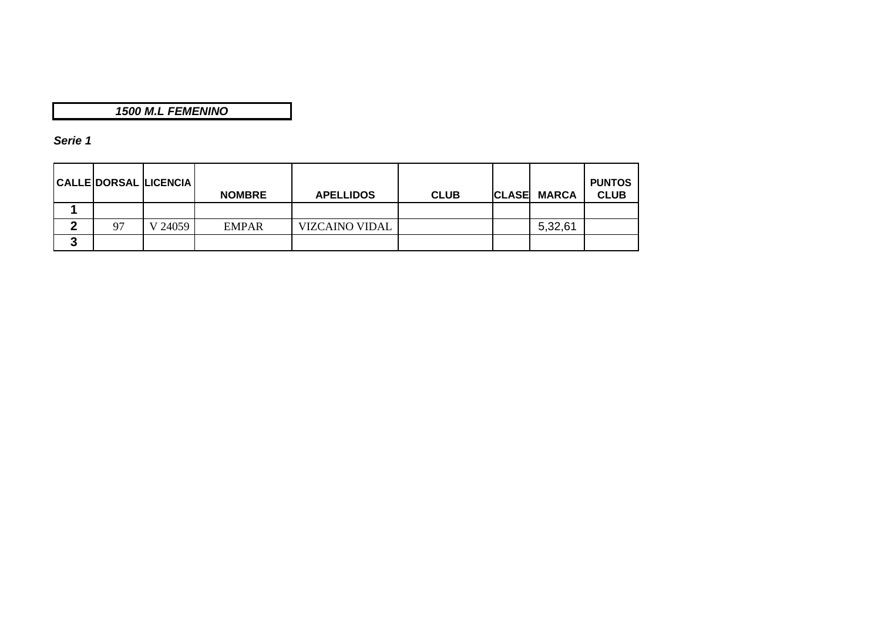## *1500 M.L FEMENINO*

## *Serie 1*

|   |    | CALLE DORSAL LICENCIA | <b>NOMBRE</b> | <b>APELLIDOS</b>      | <b>CLUB</b> | <b>CLASE MARCA</b> | <b>PUNTOS</b><br><b>CLUB</b> |
|---|----|-----------------------|---------------|-----------------------|-------------|--------------------|------------------------------|
|   |    |                       |               |                       |             |                    |                              |
| 灬 | 97 | V 24059               | <b>EMPAR</b>  | <b>VIZCAINO VIDAL</b> |             | 5,32,61            |                              |
| J |    |                       |               |                       |             |                    |                              |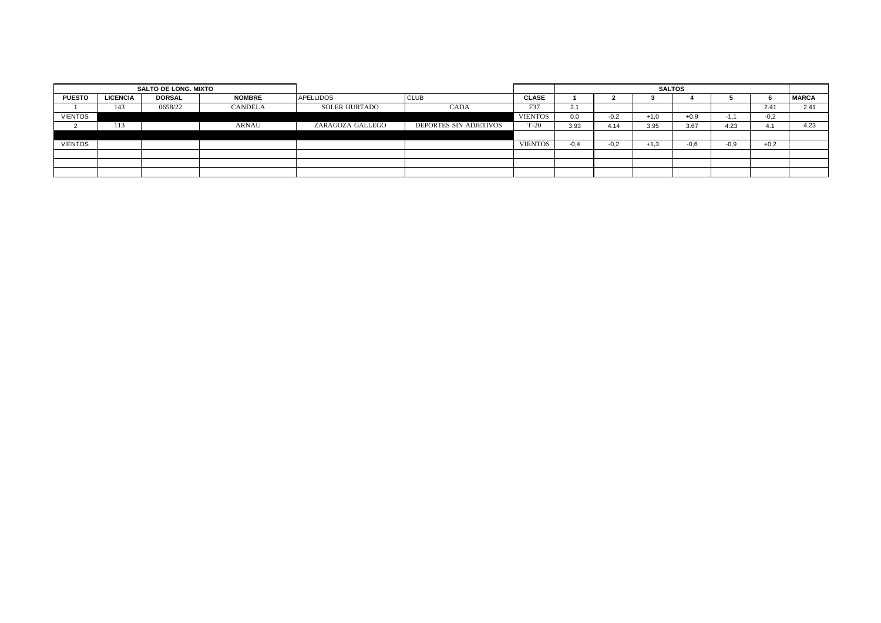|                | SALTO DE LONG. MIXTO |               |                |                  |                        |                | <b>SALTOS</b> |        |        |        |        |        |              |
|----------------|----------------------|---------------|----------------|------------------|------------------------|----------------|---------------|--------|--------|--------|--------|--------|--------------|
| <b>PUESTO</b>  | <b>LICENCIA</b>      | <b>DORSAL</b> | <b>NOMBRE</b>  | <b>APELLIDOS</b> | <b>CLUB</b>            | <b>CLASE</b>   |               |        |        |        |        |        | <b>MARCA</b> |
|                | 143                  | 0658/22       | <b>CANDELA</b> | SOLER HURTADO    | <b>CADA</b>            | F37            | 2.1           |        |        |        |        | 2.41   | 2.41         |
| <b>VIENTOS</b> |                      |               |                |                  |                        | <b>VIENTOS</b> | 0.0           | $-0.2$ | $+1,0$ | $+0.9$ | $-1.1$ | $-0,2$ |              |
|                | 113                  |               | <b>ARNAU</b>   | ZARAGOZA GALLEGO | DEPORTES SIN ADJETIVOS | $T-20$         | 3.93          | 4.14   | 3.95   | 3.67   | 4.23   | 4.     | 4.23         |
|                |                      |               |                |                  |                        |                |               |        |        |        |        |        |              |
| <b>VIENTOS</b> |                      |               |                |                  |                        | <b>VIENTOS</b> | $-0.4$        | $-0.2$ | $+1,3$ | $-0.6$ | $-0.9$ | $+0,2$ |              |
|                |                      |               |                |                  |                        |                |               |        |        |        |        |        |              |
|                |                      |               |                |                  |                        |                |               |        |        |        |        |        |              |
|                |                      |               |                |                  |                        |                |               |        |        |        |        |        |              |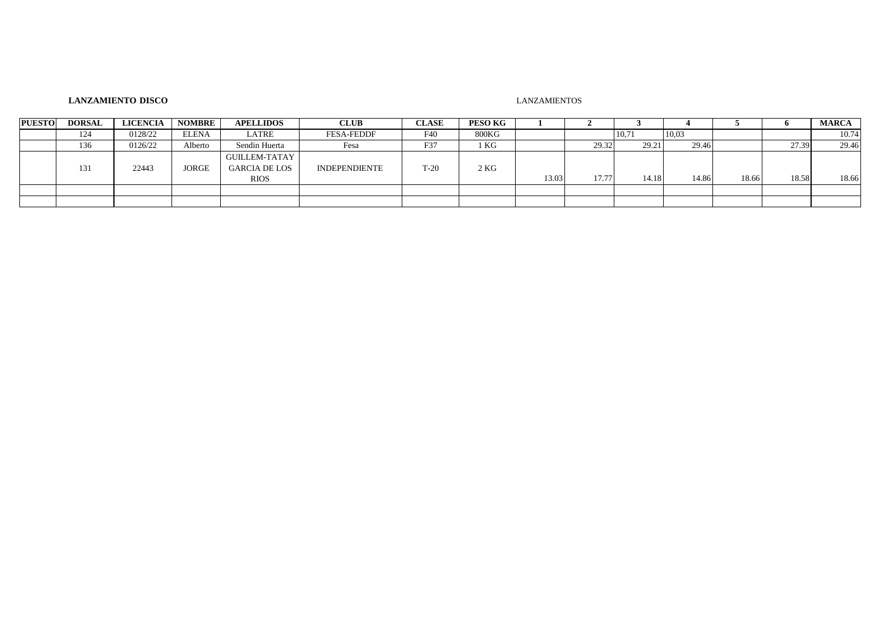#### **LANZAMIENTO DISCO** LANZAMIENTOS

| <b>PUESTO</b> | <b>DORSAL</b> | <b>LICENCIA</b> | <b>NOMBRE</b> | <b>APELLIDOS</b>                                            | <b>CLUB</b>          | <b>CLASE</b> | PESO KG |       |       |       |       |       |       | <b>MARCA</b> |
|---------------|---------------|-----------------|---------------|-------------------------------------------------------------|----------------------|--------------|---------|-------|-------|-------|-------|-------|-------|--------------|
|               | 124           | 0128/22         | <b>ELENA</b>  | LATRE                                                       | <b>FESA-FEDDF</b>    | F40          | 800KG   |       |       | 10,71 | 10,03 |       |       | 10.74        |
|               | 136           | 0126/22         | Alberto       | Sendin Huerta                                               | Fesa                 | F37          | 1 KG    |       | 29.32 | 29.21 | 29.46 |       | 27.39 | 29.46        |
|               | 131           | 22443           | <b>JORGE</b>  | <b>GUILLEM-TATAY</b><br><b>GARCIA DE LOS</b><br><b>RIOS</b> | <b>INDEPENDIENTE</b> | $T-20$       | 2KG     | 13.03 | 17.77 | 14.18 | 14.86 | 18.66 | 18.58 | 18.66        |
|               |               |                 |               |                                                             |                      |              |         |       |       |       |       |       |       |              |
|               |               |                 |               |                                                             |                      |              |         |       |       |       |       |       |       |              |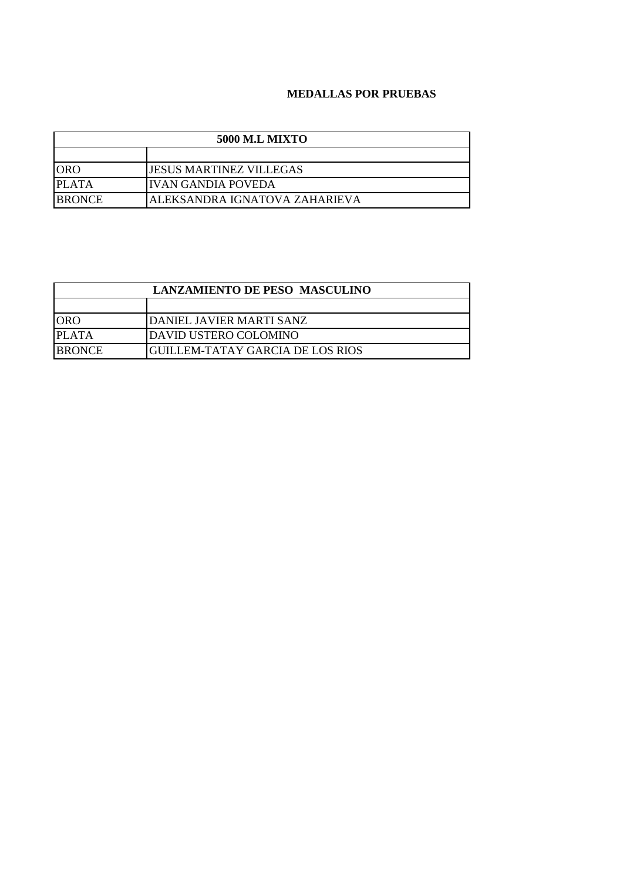#### **MEDALLAS POR PRUEBAS**

| <b>5000 M.L MIXTO</b> |                                |  |  |  |  |  |
|-----------------------|--------------------------------|--|--|--|--|--|
|                       |                                |  |  |  |  |  |
| <b>ORO</b>            | <b>JESUS MARTINEZ VILLEGAS</b> |  |  |  |  |  |
| <b>PLATA</b>          | IIVAN GANDIA POVEDA            |  |  |  |  |  |
| <b>BRONCE</b>         | ALEKSANDRA IGNATOVA ZAHARIEVA  |  |  |  |  |  |

| <b>LANZAMIENTO DE PESO MASCULINO</b> |                                  |  |  |  |
|--------------------------------------|----------------------------------|--|--|--|
|                                      |                                  |  |  |  |
| <b>ORO</b>                           | DANIEL JAVIER MARTI SANZ         |  |  |  |
| PLATA                                | DAVID USTERO COLOMINO            |  |  |  |
| <b>BRONCE</b>                        | GUILLEM-TATAY GARCIA DE LOS RIOS |  |  |  |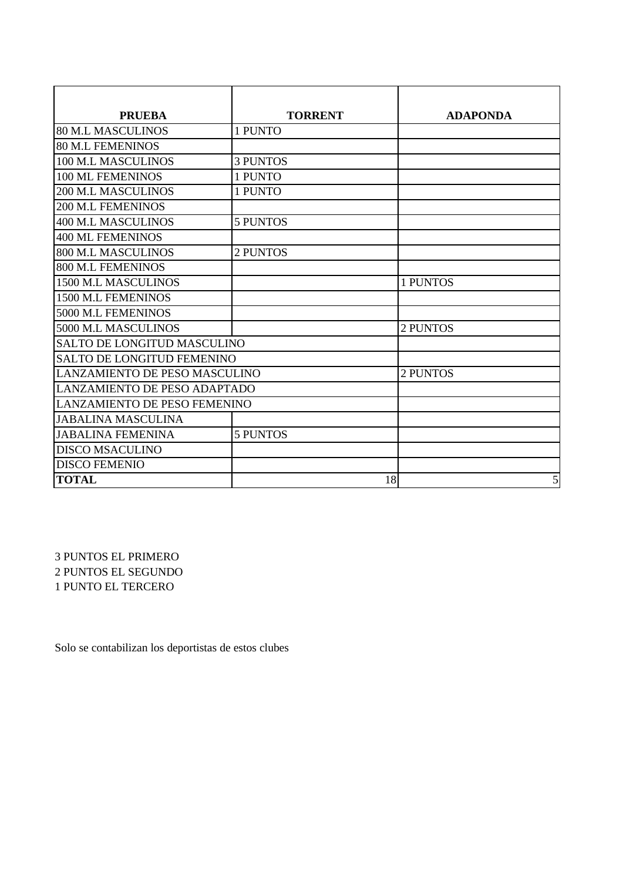| <b>PRUEBA</b>                       | <b>TORRENT</b>  | <b>ADAPONDA</b> |  |  |  |
|-------------------------------------|-----------------|-----------------|--|--|--|
| <b>80 M.L MASCULINOS</b>            | 1 PUNTO         |                 |  |  |  |
| <b>80 M.L FEMENINOS</b>             |                 |                 |  |  |  |
| 100 M.L MASCULINOS                  | <b>3 PUNTOS</b> |                 |  |  |  |
| 100 ML FEMENINOS                    | 1 PUNTO         |                 |  |  |  |
| <b>200 M.L MASCULINOS</b>           | 1 PUNTO         |                 |  |  |  |
| <b>200 M.L FEMENINOS</b>            |                 |                 |  |  |  |
| <b>400 M.L MASCULINOS</b>           | <b>5 PUNTOS</b> |                 |  |  |  |
| <b>400 ML FEMENINOS</b>             |                 |                 |  |  |  |
| <b>800 M.L MASCULINOS</b>           | 2 PUNTOS        |                 |  |  |  |
| <b>800 M.L FEMENINOS</b>            |                 |                 |  |  |  |
| 1500 M.L MASCULINOS                 |                 | 1 PUNTOS        |  |  |  |
| 1500 M.L FEMENINOS                  |                 |                 |  |  |  |
| 5000 M.L FEMENINOS                  |                 |                 |  |  |  |
| 5000 M.L MASCULINOS                 |                 | 2 PUNTOS        |  |  |  |
| <b>SALTO DE LONGITUD MASCULINO</b>  |                 |                 |  |  |  |
| <b>SALTO DE LONGITUD FEMENINO</b>   |                 |                 |  |  |  |
| LANZAMIENTO DE PESO MASCULINO       | 2 PUNTOS        |                 |  |  |  |
| <b>LANZAMIENTO DE PESO ADAPTADO</b> |                 |                 |  |  |  |
| LANZAMIENTO DE PESO FEMENINO        |                 |                 |  |  |  |
| <b>JABALINA MASCULINA</b>           |                 |                 |  |  |  |
| <b>JABALINA FEMENINA</b>            | <b>5 PUNTOS</b> |                 |  |  |  |
| <b>DISCO MSACULINO</b>              |                 |                 |  |  |  |
| <b>DISCO FEMENIO</b>                |                 |                 |  |  |  |
| <b>TOTAL</b>                        | 18              | 5               |  |  |  |

3 PUNTOS EL PRIMERO 2 PUNTOS EL SEGUNDO 1 PUNTO EL TERCERO

Solo se contabilizan los deportistas de estos clubes